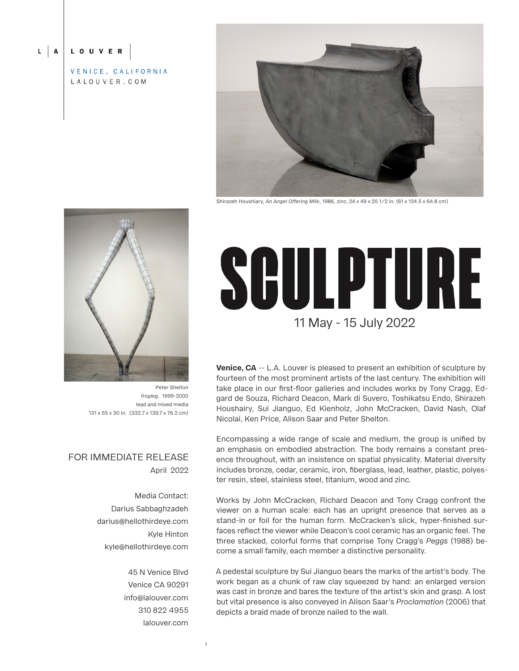#### $L \mid A$ LOUVER

VENICE, CALIFORNIA LALOUVER.COM



Shirazeh Houshiary, *An Angel Offering Milk*, 1986, zinc, 24 x 49 x 25 1/2 in. (61 x 124.5 x 64.8 cm)



Peter Shelton *frogleg*, 1999-2000 lead and mixed media 131 x 55 x 30 in. (332.7 x 139.7 x 76.2 cm)

## FOR IMMEDIATE RELEASE April 2022

Media Contact: Darius Sabbaghzadeh darius@hellothirdeye.com Kyle Hinton kyle@hellothirdeye.com

> 45 N Venice Blvd Venice CA 90291 info@lalouver.com 310 822 4955 lalouver.com

> > 1

# SGULPTURE 11 May - 15 July 2022

**Venice, CA** -- L.A. Louver is pleased to present an exhibition of sculpture by fourteen of the most prominent artists of the last century. The exhibition will take place in our first-floor galleries and includes works by Tony Cragg, Edgard de Souza, Richard Deacon, Mark di Suvero, Toshikatsu Endo, Shirazeh Houshairy, Sui Jianguo, Ed Kienholz, John McCracken, David Nash, Olaf Nicolai, Ken Price, Alison Saar and Peter Shelton.

Encompassing a wide range of scale and medium, the group is unified by an emphasis on embodied abstraction. The body remains a constant presence throughout, with an insistence on spatial physicality. Material diversity includes bronze, cedar, ceramic, iron, fiberglass, lead, leather, plastic, polyester resin, steel, stainless steel, titanium, wood and zinc.

Works by John McCracken, Richard Deacon and Tony Cragg confront the viewer on a human scale: each has an upright presence that serves as a stand-in or foil for the human form. McCracken's slick, hyper-finished surfaces reflect the viewer while Deacon's cool ceramic has an organic feel. The three stacked, colorful forms that comprise Tony Cragg's *Peggs* (1988) become a small family, each member a distinctive personality.

A pedestal sculpture by Sui Jianguo bears the marks of the artist's body. The work began as a chunk of raw clay squeezed by hand: an enlarged version was cast in bronze and bares the texture of the artist's skin and grasp. A lost but vital presence is also conveyed in Alison Saar's *Proclamation* (2006) that depicts a braid made of bronze nailed to the wall.